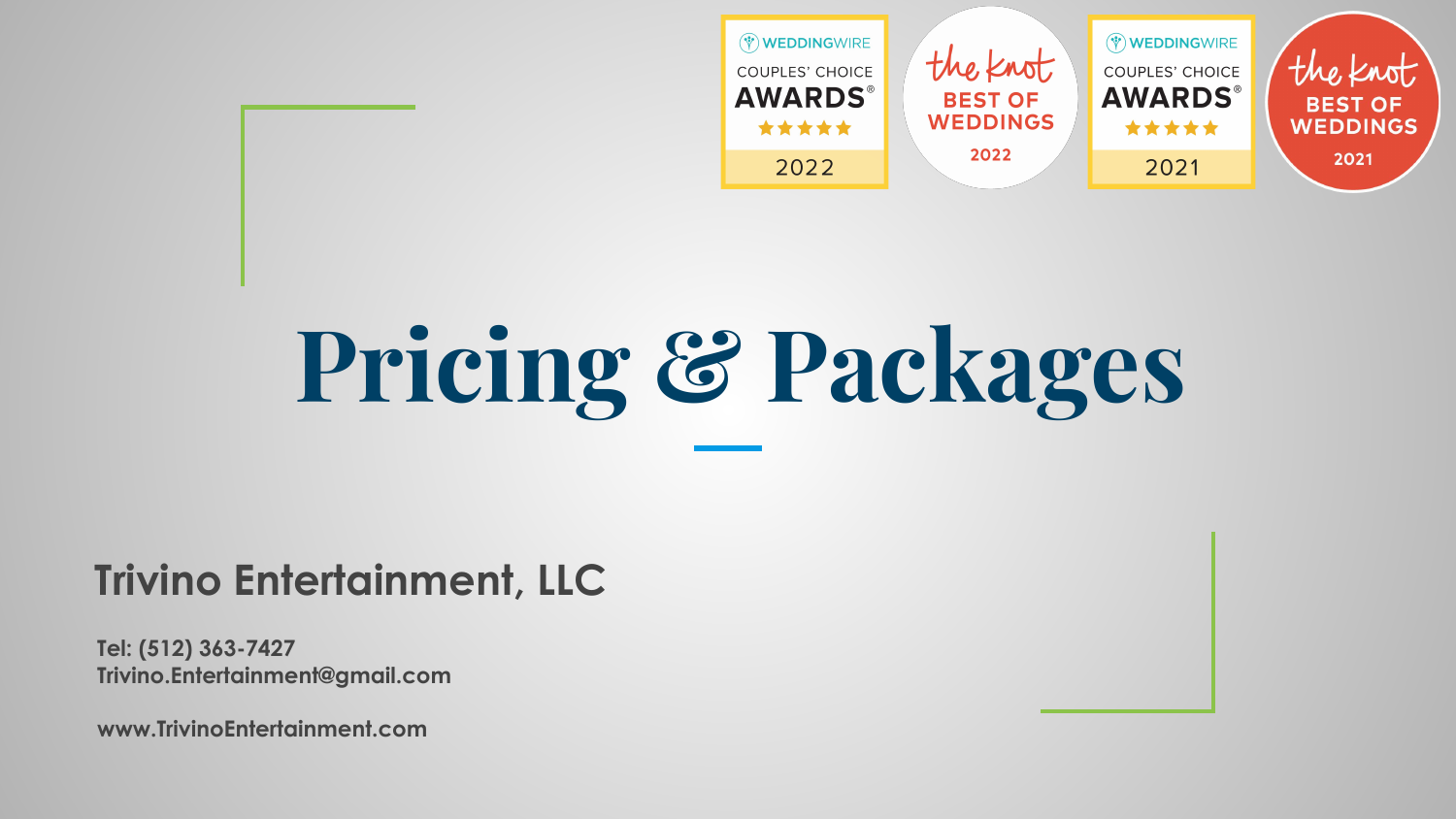

# **Pricing & Packages**

### **Trivino Entertainment, LLC**

**Tel: (512) 363-7427 [Trivino.Entertainment@gmail.com](mailto:Trivino.Entertainment@gmail.com)**

**www.TrivinoEntertainment.com**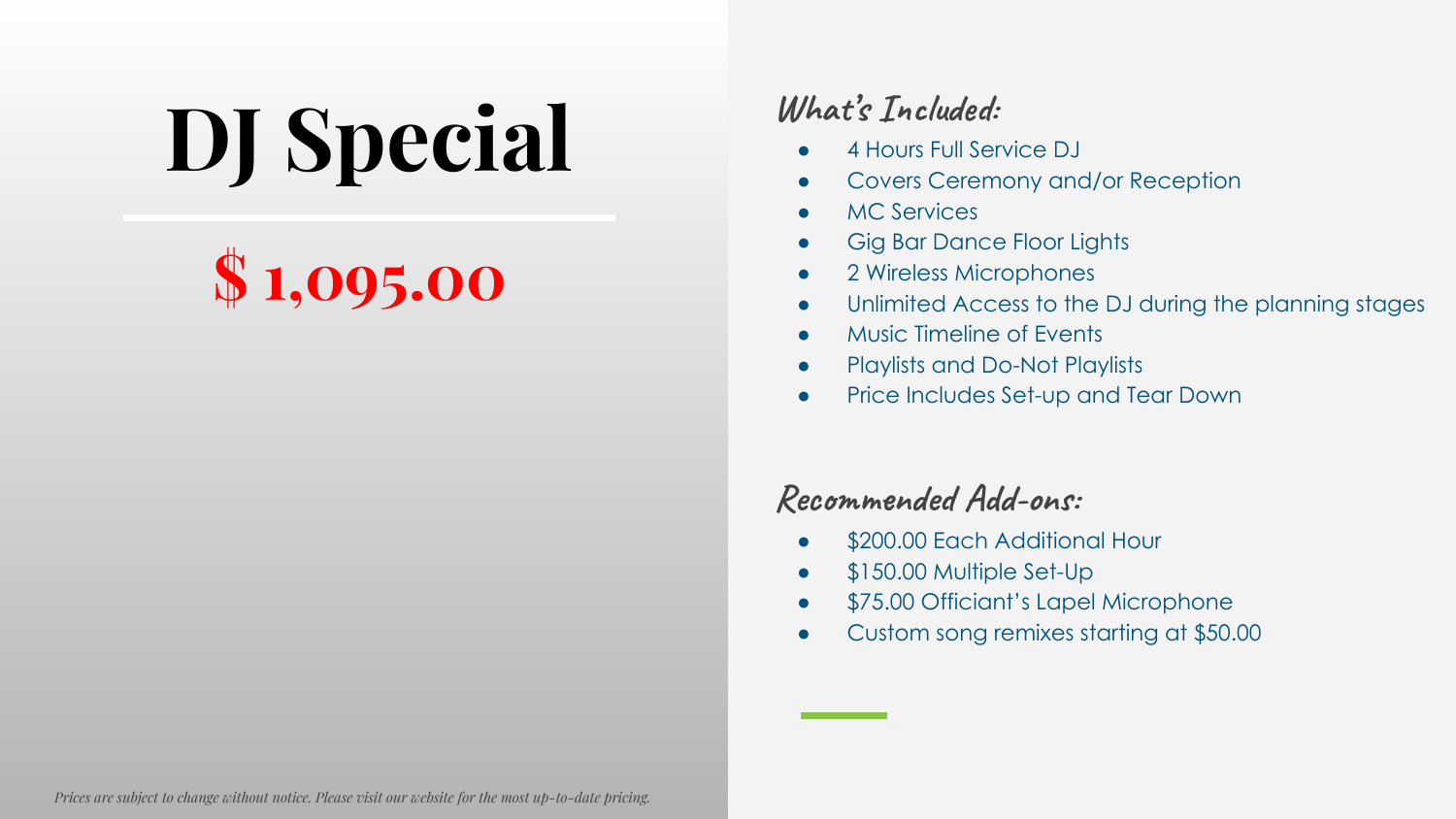**DJ Special** What's Included:<br> **Covers Cerema** 

### **\$ 1,095.00**

- 4 Hours Full Service DJ
- Covers Ceremony and/or Reception
- MC Services
- Gig Bar Dance Floor Lights
- 2 Wireless Microphones
- Unlimited Access to the DJ during the planning stages
- Music Timeline of Events
- Playlists and Do-Not Playlists
- Price Includes Set-up and Tear Down

- \$200.00 Each Additional Hour
- \$150.00 Multiple Set-Up
- \$75.00 Officiant's Lapel Microphone
- Custom song remixes starting at \$50.00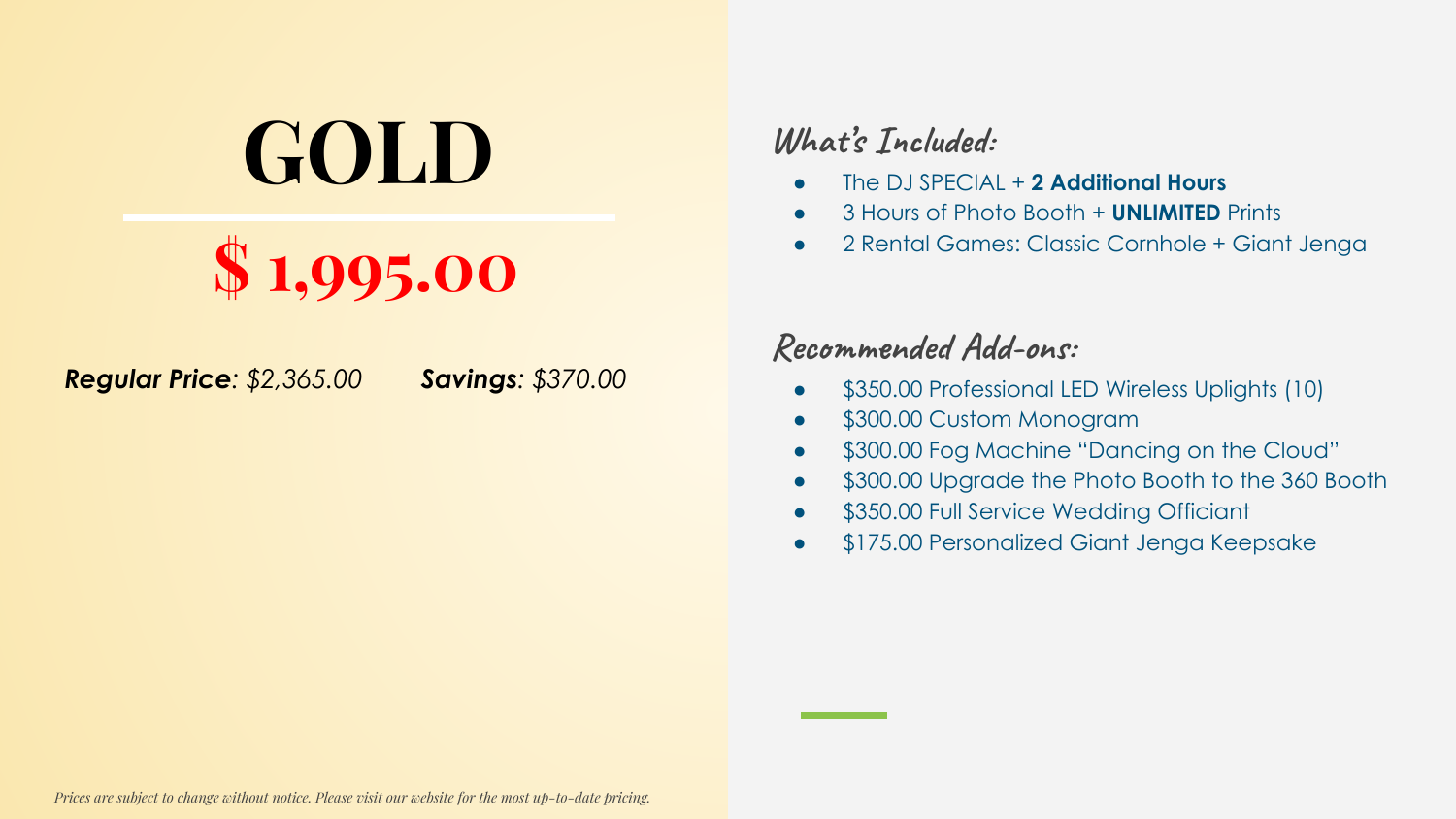### **GOLD** What's Included:

### **\$ 1,995.00**

*Regular Price: \$2,365.00 Savings: \$370.00*

- The DJ SPECIAL + **2 Additional Hours**
- 3 Hours of Photo Booth + **UNLIMITED** Prints
- 2 Rental Games: Classic Cornhole + Giant Jenga

- \$350.00 Professional LED Wireless Uplights (10)
- \$300.00 Custom Monogram
- \$300.00 Fog Machine "Dancing on the Cloud"
- \$300.00 Upgrade the Photo Booth to the 360 Booth
- \$350.00 Full Service Wedding Officiant
- \$175.00 Personalized Giant Jenga Keepsake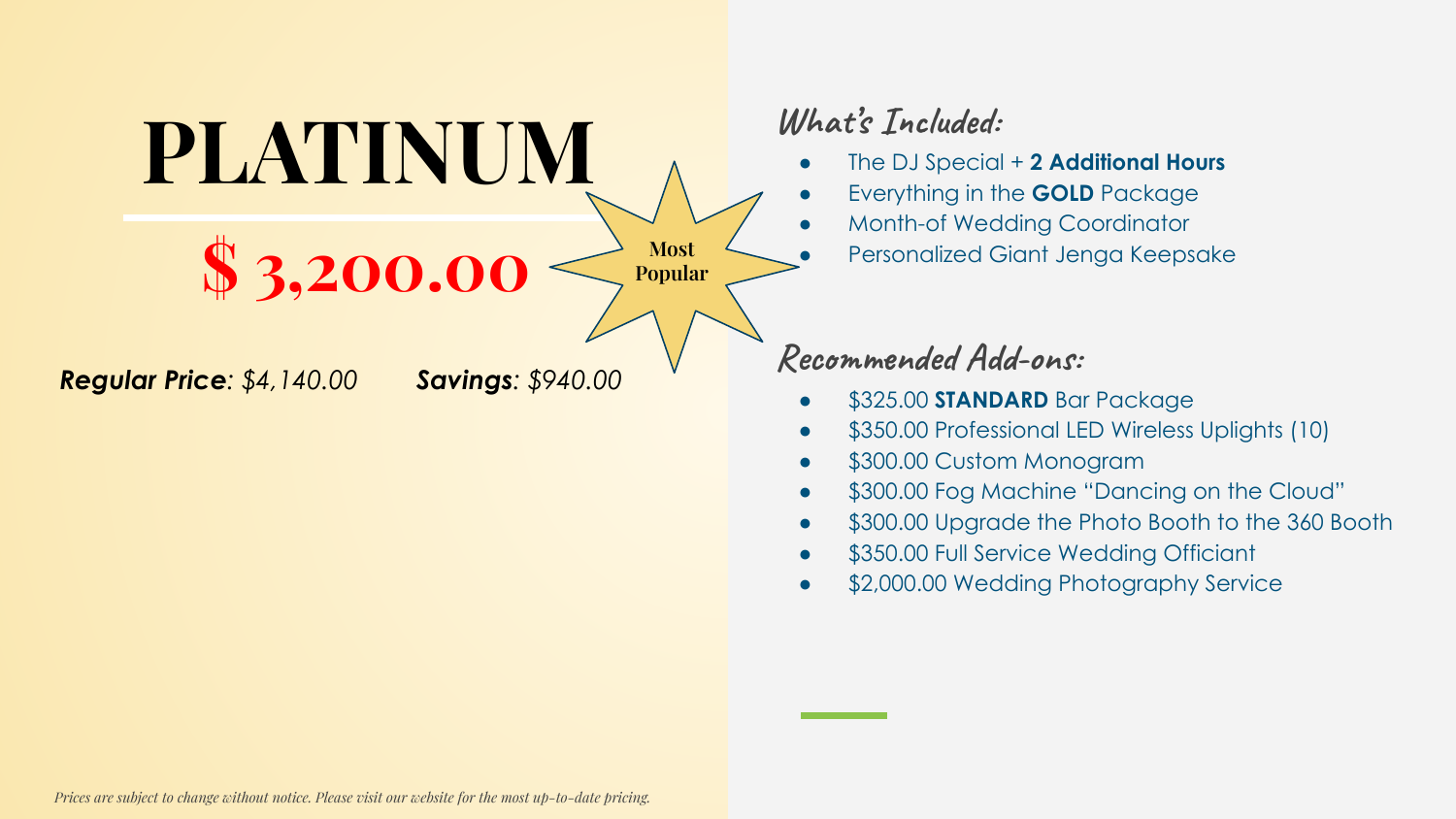**PLATINUM What's Included: \$ 3,200.00** *Regular Price: \$4,140.00 Savings: \$940.00* **Most Popular**

- The DJ Special + **2 Additional Hours**
- Everything in the **GOLD** Package
- Month-of Wedding Coordinator
	- Personalized Giant Jenga Keepsake

- \$325.00 **STANDARD** Bar Package
- \$350.00 Professional LED Wireless Uplights (10)
- \$300.00 Custom Monogram
- \$300.00 Fog Machine "Dancing on the Cloud"
- \$300.00 Upgrade the Photo Booth to the 360 Booth
- \$350.00 Full Service Wedding Officiant
- \$2,000.00 Wedding Photography Service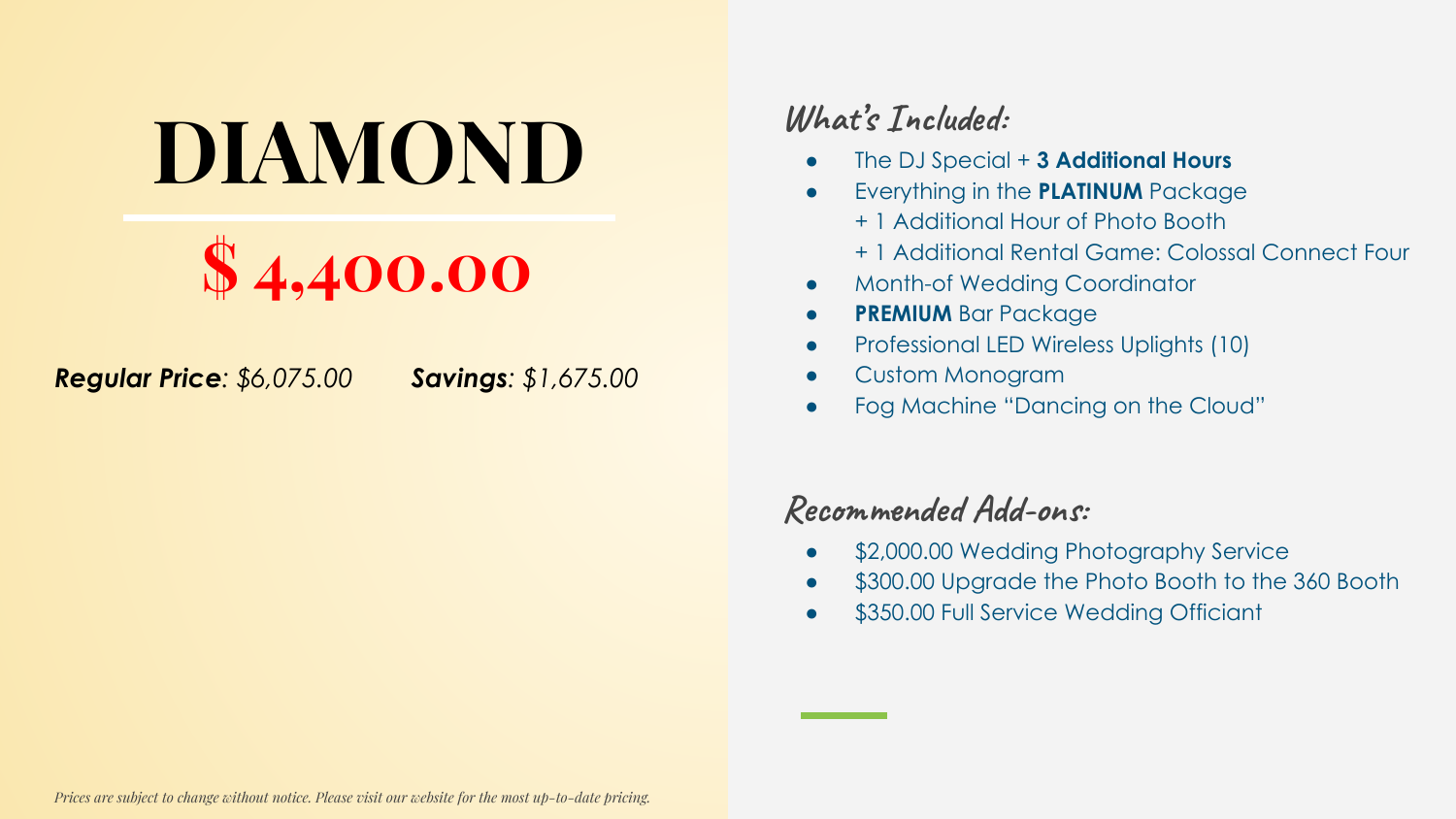## **DIAMOND** *What's Included:*<br> **Conspecial**<br> **Conspecial**<br> **Conspecial**<br> **Conspecial**<br> **Conspecial**



*Regular Price: \$6,075.00 Savings: \$1,675.00*

- The DJ Special + **3 Additional Hours**
- **Everything in the <b>PLATINUM** Package
	- + 1 Additional Hour of Photo Booth
	- + 1 Additional Rental Game: Colossal Connect Four
- Month-of Wedding Coordinator
- **PREMIUM** Bar Package
- Professional LED Wireless Uplights (10)
- Custom Monogram
- Fog Machine "Dancing on the Cloud"

- \$2,000.00 Wedding Photography Service
- \$300.00 Upgrade the Photo Booth to the 360 Booth
- \$350.00 Full Service Wedding Officiant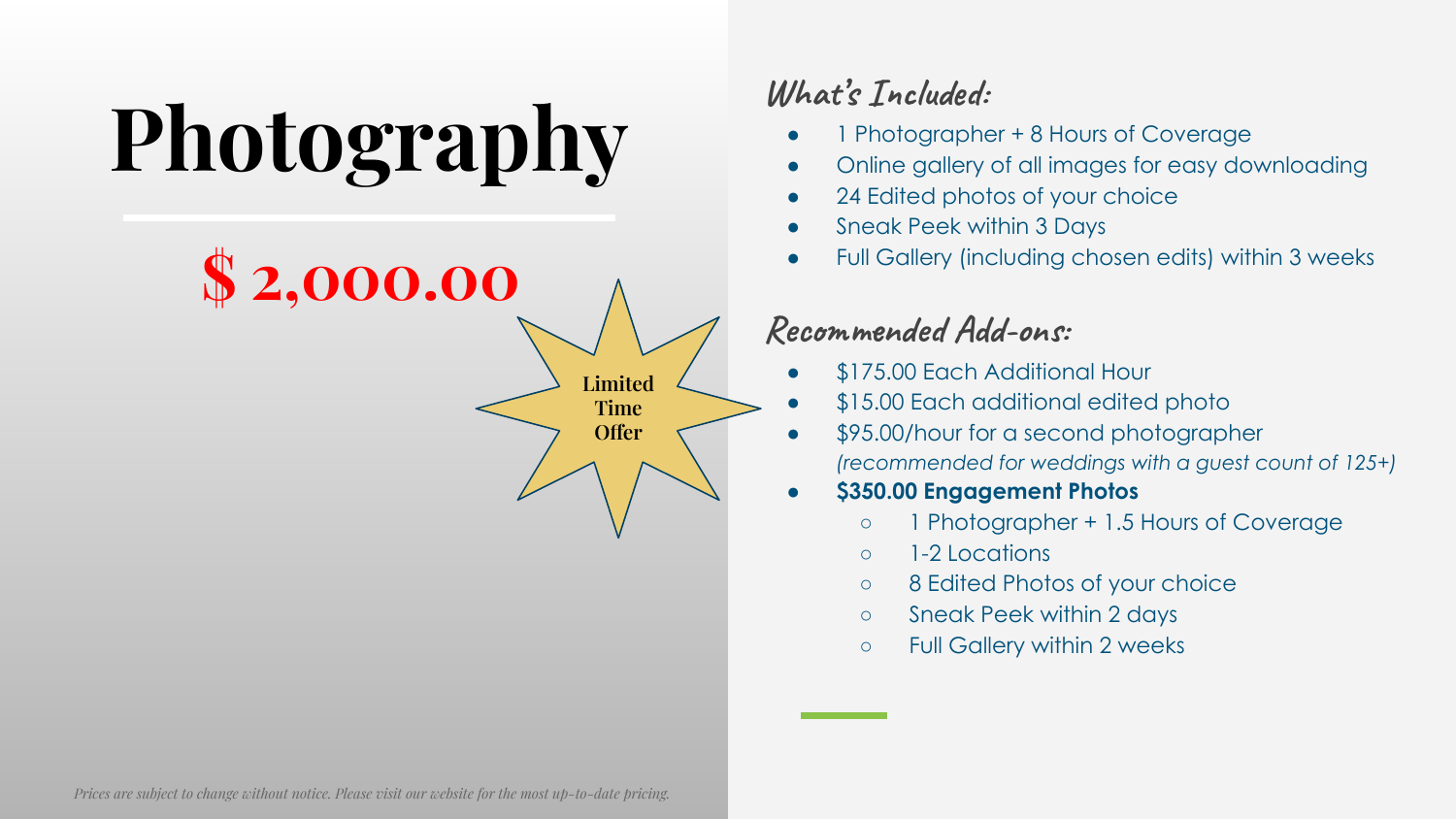# **Photography**

**\$ 2,000.00 Limited Time Offer**

### **What's Included:**

- 1 Photographer + 8 Hours of Coverage
- Online gallery of all images for easy downloading
- 24 Edited photos of your choice
- Sneak Peek within 3 Days
- Full Gallery (including chosen edits) within 3 weeks

### **Recommended Add-ons:**

- \$175.00 Each Additional Hour
- \$15.00 Each additional edited photo
- \$95.00/hour for a second photographer *(recommended for weddings with a guest count of 125+)*

#### ● **\$350.00 Engagement Photos**

- 1 Photographer + 1.5 Hours of Coverage
- 1-2 Locations
- 8 Edited Photos of your choice
- Sneak Peek within 2 days
- Full Gallery within 2 weeks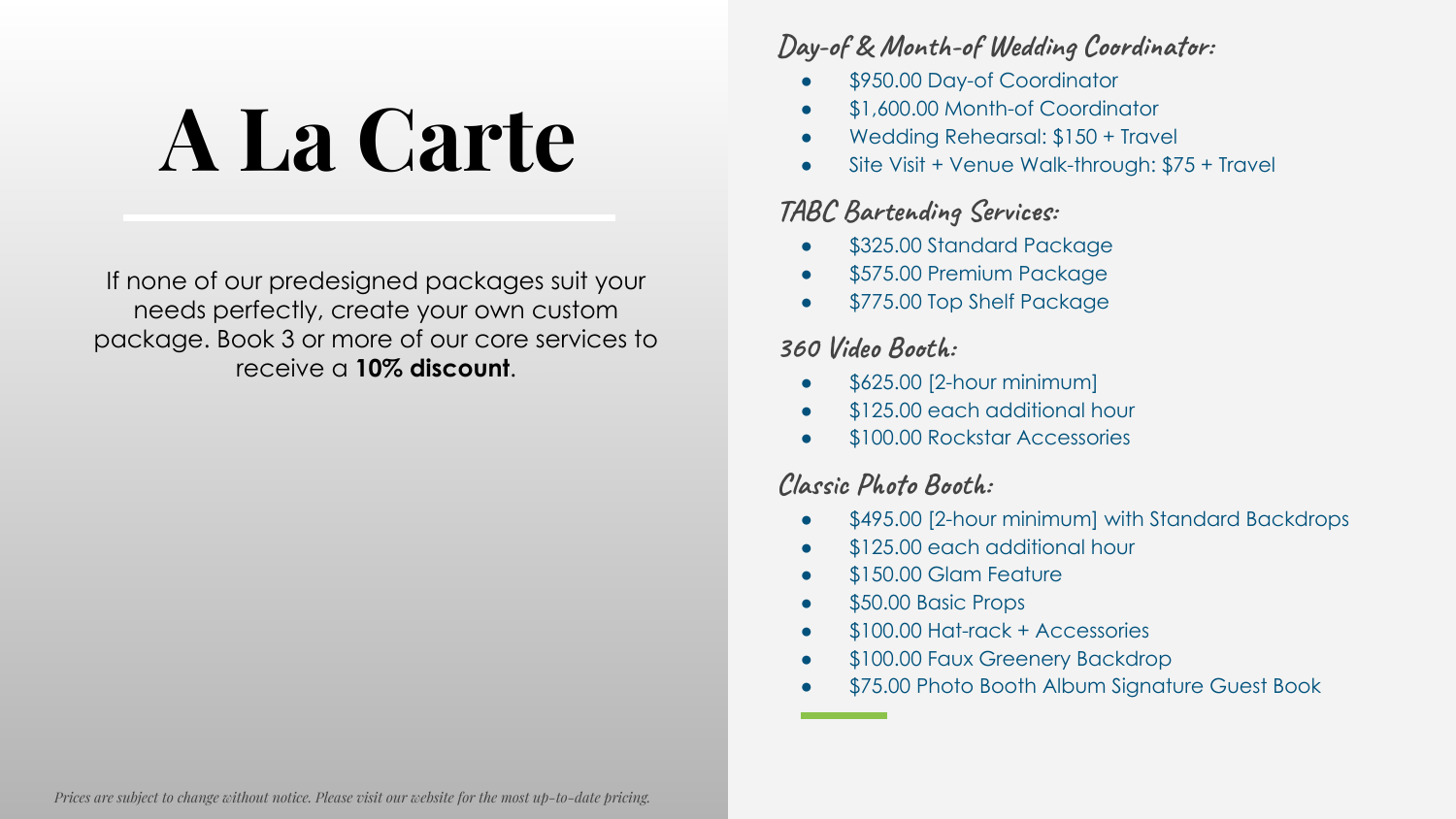## **A La Carte**

If none of our predesigned packages suit your needs perfectly, create your own custom package. Book 3 or more of our core services to receive a **10% discount**.

#### **Day-of & Month-of Wedding Coordinator:**

- \$950.00 Day-of Coordinator
- \$1,600.00 Month-of Coordinator
- Wedding Rehearsal: \$150 + Travel
- Site Visit + Venue Walk-through: \$75 + Travel

#### **TABC Bartending Services:**

- \$325.00 Standard Package
- \$575.00 Premium Package
- \$775.00 Top Shelf Package

#### **360 Video Booth:**

- \$625.00 [2-hour minimum]
- \$125.00 each additional hour
- \$100.00 Rockstar Accessories

#### **Classic Photo Booth:**

- \$495.00 [2-hour minimum] with Standard Backdrops
- \$125.00 each additional hour
- \$150.00 Glam Feature
- \$50.00 Basic Props
- \$100.00 Hat-rack + Accessories
- \$100.00 Faux Greenery Backdrop
- \$75.00 Photo Booth Album Signature Guest Book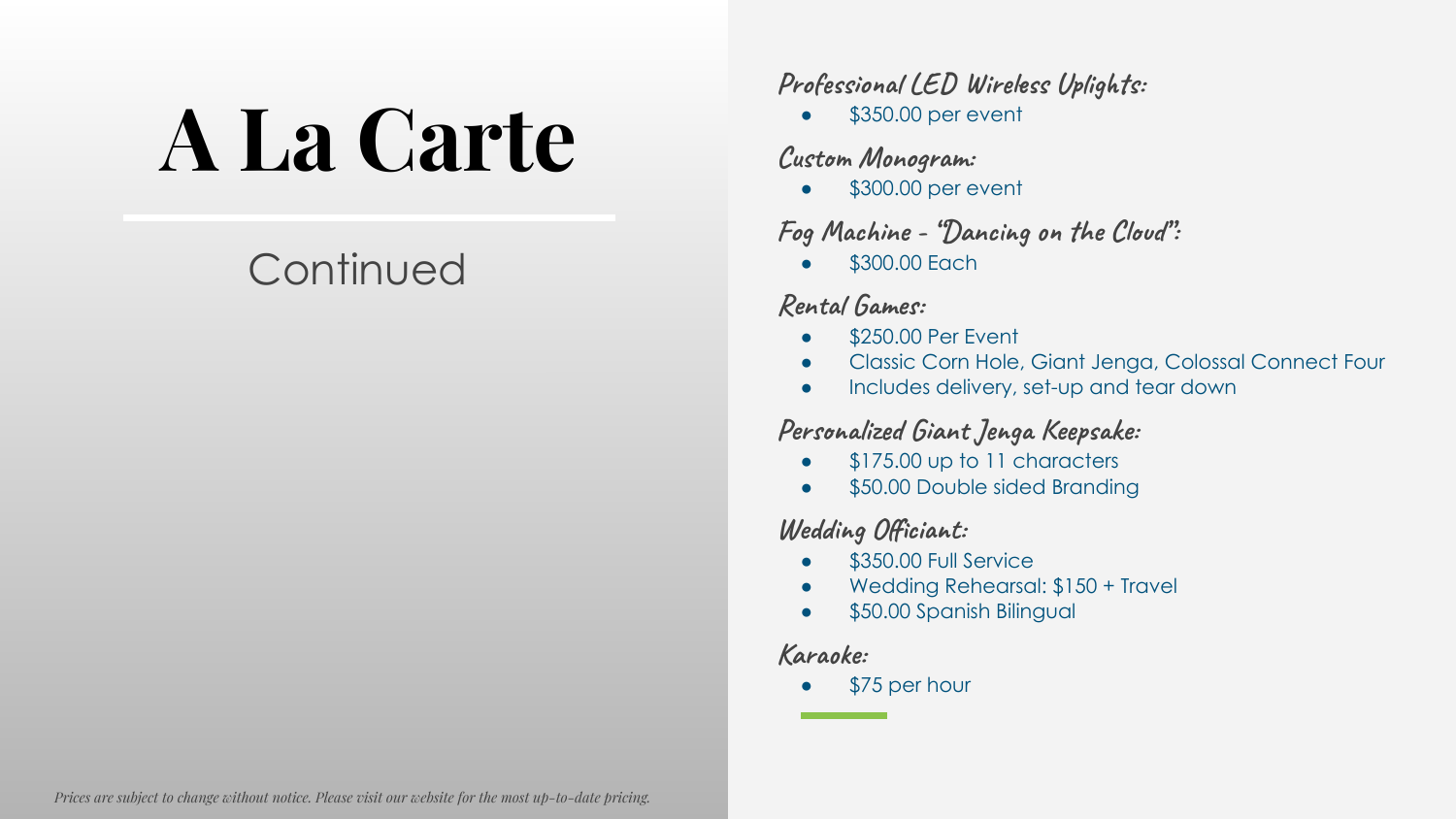## **A La Carte**

### **Continued**

**Professional LED Wireless Uplights:**

 $\bullet$  \$350.00 per event

#### **Custom Monogram:**

• \$300.00 per event

#### **Fog Machine - "Dancing on the Cloud":**

● \$300.00 Each

#### **Rental Games:**

- \$250.00 Per Event
- Classic Corn Hole, Giant Jenga, Colossal Connect Four
- Includes delivery, set-up and tear down

#### **Personalized Giant Jenga Keepsake:**

- \$175.00 up to 11 characters
- \$50.00 Double sided Branding

#### **Wedding Officiant:**

- \$350.00 Full Service
- Wedding Rehearsal: \$150 + Travel
- \$50.00 Spanish Bilingual

#### **Karaoke:**

\$75 per hour